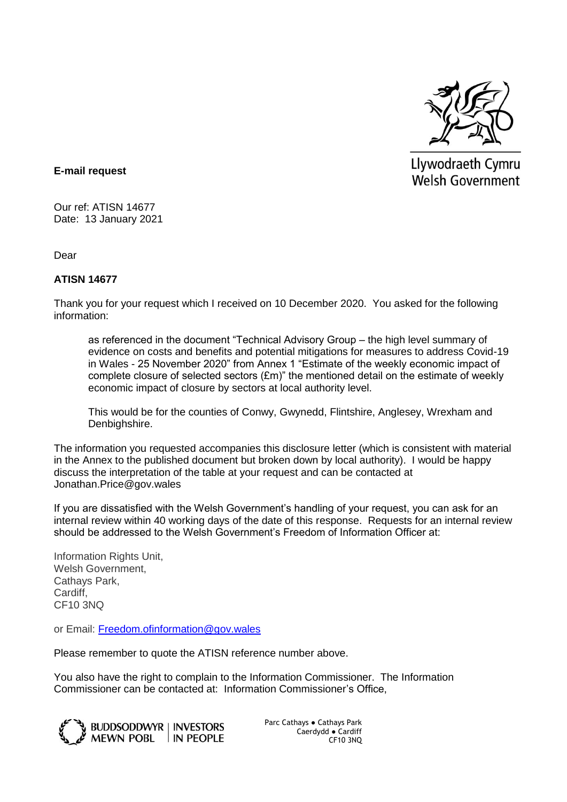

Llywodraeth Cymru **Welsh Government** 

## **E-mail request**

Our ref: ATISN 14677 Date: 13 January 2021

Dear

## **ATISN 14677**

Thank you for your request which I received on 10 December 2020. You asked for the following information:

as referenced in the document "Technical Advisory Group – the high level summary of evidence on costs and benefits and potential mitigations for measures to address Covid-19 in Wales - 25 November 2020" from Annex 1 "Estimate of the weekly economic impact of complete closure of selected sectors (£m)" the mentioned detail on the estimate of weekly economic impact of closure by sectors at local authority level.

This would be for the counties of Conwy, Gwynedd, Flintshire, Anglesey, Wrexham and Denbighshire.

The information you requested accompanies this disclosure letter (which is consistent with material in the Annex to the published document but broken down by local authority). I would be happy discuss the interpretation of the table at your request and can be contacted at Jonathan.Price@gov.wales

If you are dissatisfied with the Welsh Government's handling of your request, you can ask for an internal review within 40 working days of the date of this response. Requests for an internal review should be addressed to the Welsh Government's Freedom of Information Officer at:

Information Rights Unit, Welsh Government, Cathays Park, Cardiff, CF10 3NQ

or Email: [Freedom.ofinformation@gov.wales](mailto:Freedom.ofinformation@gov.wales)

Please remember to quote the ATISN reference number above.

You also have the right to complain to the Information Commissioner. The Information Commissioner can be contacted at: Information Commissioner's Office,



Parc Cathays ● Cathays Park Caerdydd ● Cardiff CF10 3NQ